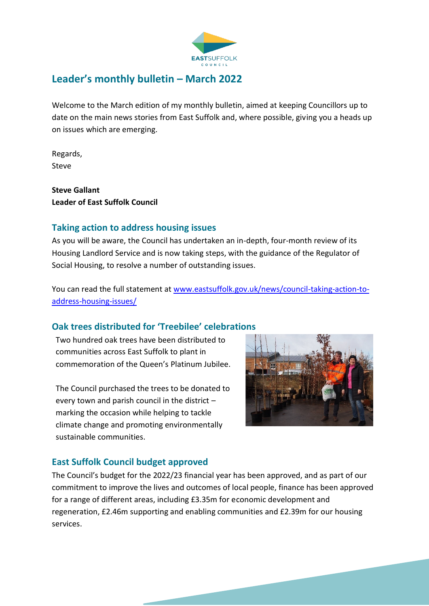

# **Leader's monthly bulletin – March 2022**

Welcome to the March edition of my monthly bulletin, aimed at keeping Councillors up to date on the main news stories from East Suffolk and, where possible, giving you a heads up on issues which are emerging.

Regards, Steve

**Steve Gallant Leader of East Suffolk Council**

## **Taking action to address housing issues**

As you will be aware, the Council has undertaken an in-depth, four-month review of its Housing Landlord Service and is now taking steps, with the guidance of the Regulator of Social Housing, to resolve a number of outstanding issues.

You can read the full statement a[t www.eastsuffolk.gov.uk/news/council-taking-action-to](http://www.eastsuffolk.gov.uk/news/council-taking-action-to-address-housing-issues/)[address-housing-issues/](http://www.eastsuffolk.gov.uk/news/council-taking-action-to-address-housing-issues/) 

# **Oak trees distributed for 'Treebilee' celebrations**

Two hundred oak trees have been distributed to communities across East Suffolk to plant in commemoration of the Queen's Platinum Jubilee.

The Council purchased the trees to be donated to every town and parish council in the district – marking the occasion while helping to tackle climate change and promoting environmentally sustainable communities.



# **East Suffolk Council budget approved**

The Council's budget for the 2022/23 financial year has been approved, and as part of our commitment to improve the lives and outcomes of local people, finance has been approved for a range of different areas, including £3.35m for economic development and regeneration, £2.46m supporting and enabling communities and £2.39m for our housing services.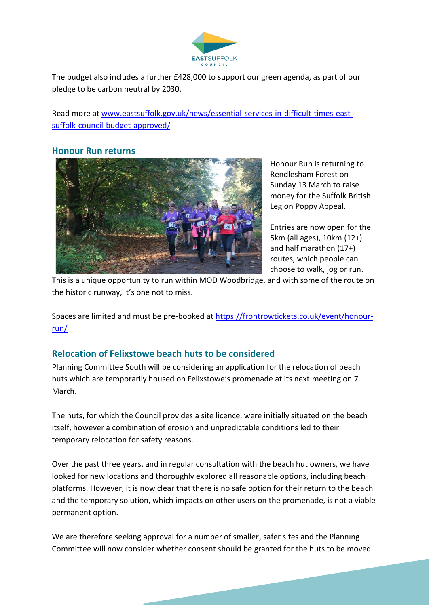

The budget also includes a further £428,000 to support our green agenda, as part of our pledge to be carbon neutral by 2030.

Read more a[t www.eastsuffolk.gov.uk/news/essential-services-in-difficult-times-east](http://www.eastsuffolk.gov.uk/news/essential-services-in-difficult-times-east-suffolk-council-budget-approved/)[suffolk-council-budget-approved/](http://www.eastsuffolk.gov.uk/news/essential-services-in-difficult-times-east-suffolk-council-budget-approved/)

#### **Honour Run returns**



Honour Run is returning to Rendlesham Forest on Sunday 13 March to raise money for the Suffolk British Legion Poppy Appeal.

Entries are now open for the 5km (all ages), 10km (12+) and half marathon (17+) routes, which people can choose to walk, jog or run.

This is a unique opportunity to run within MOD Woodbridge, and with some of the route on the historic runway, it's one not to miss.

Spaces are limited and must be pre-booked at [https://frontrowtickets.co.uk/event/honour](https://frontrowtickets.co.uk/event/honour-run/)[run/](https://frontrowtickets.co.uk/event/honour-run/)

## **Relocation of Felixstowe beach huts to be considered**

Planning Committee South will be considering an application for the relocation of beach huts which are temporarily housed on Felixstowe's promenade at its next meeting on 7 March.

The huts, for which the Council provides a site licence, were initially situated on the beach itself, however a combination of erosion and unpredictable conditions led to their temporary relocation for safety reasons.

Over the past three years, and in regular consultation with the beach hut owners, we have looked for new locations and thoroughly explored all reasonable options, including beach platforms. However, it is now clear that there is no safe option for their return to the beach and the temporary solution, which impacts on other users on the promenade, is not a viable permanent option.

We are therefore seeking approval for a number of smaller, safer sites and the Planning Committee will now consider whether consent should be granted for the huts to be moved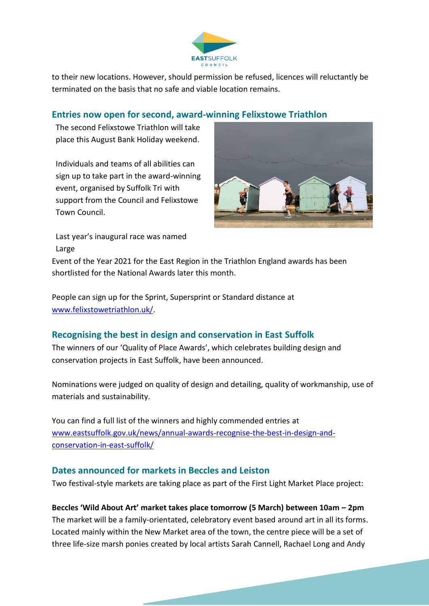

to their new locations. However, should permission be refused, licences will reluctantly be terminated on the basis that no safe and viable location remains.

## **Entries now open for second, award-winning Felixstowe Triathlon**

The second Felixstowe Triathlon will take place this August Bank Holiday weekend.

Individuals and teams of all abilities can sign up to take part in the award-winning event, organised by Suffolk Tri with support from the Council and Felixstowe Town Council.



Last year's inaugural race was named Large

Event of the Year 2021 for the East Region in the Triathlon England awards has been shortlisted for the National Awards later this month.

People can sign up for the Sprint, Supersprint or Standard distance at [www.felixstowetriathlon.uk/.](http://www.felixstowetriathlon.uk/)

# **Recognising the best in design and conservation in East Suffolk**

The winners of our 'Quality of Place Awards', which celebrates building design and conservation projects in East Suffolk, have been announced.

Nominations were judged on quality of design and detailing, quality of workmanship, use of materials and sustainability.

You can find a full list of the winners and highly commended entries at [www.eastsuffolk.gov.uk/news/annual-awards-recognise-the-best-in-design-and](http://www.eastsuffolk.gov.uk/news/annual-awards-recognise-the-best-in-design-and-conservation-in-east-suffolk/)[conservation-in-east-suffolk/](http://www.eastsuffolk.gov.uk/news/annual-awards-recognise-the-best-in-design-and-conservation-in-east-suffolk/)

## **Dates announced for markets in Beccles and Leiston**

Two festival-style markets are taking place as part of the First Light Market Place project:

### **Beccles 'Wild About Art' market takes place tomorrow (5 March) between 10am – 2pm**

The market will be a family-orientated, celebratory event based around art in all its forms. Located mainly within the New Market area of the town, the centre piece will be a set of three life-size marsh ponies created by local artists Sarah Cannell, Rachael Long and Andy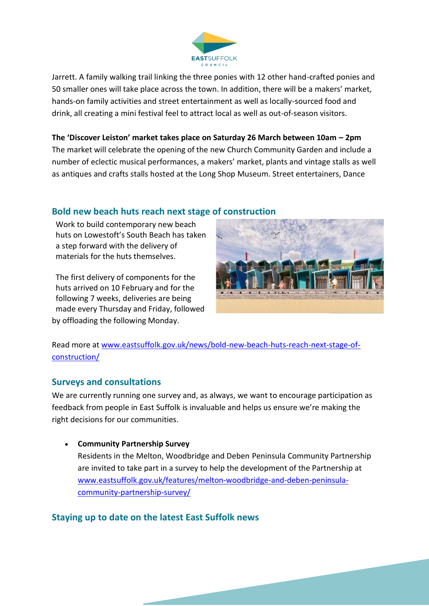

Jarrett. A family walking trail linking the three ponies with 12 other hand-crafted ponies and 50 smaller ones will take place across the town. In addition, there will be a makers' market, hands-on family activities and street entertainment as well as locally-sourced food and drink, all creating a mini festival feel to attract local as well as out-of-season visitors.

**The 'Discover Leiston' market takes place on Saturday 26 March between 10am – 2pm** The market will celebrate the opening of the new Church Community Garden and include a number of eclectic musical performances, a makers' market, plants and vintage stalls as well as antiques and crafts stalls hosted at the Long Shop Museum. Street entertainers, Dance

### **Bold new beach huts reach next stage of construction**

Work to build contemporary new beach huts on Lowestoft's South Beach has taken a step forward with the delivery of materials for the huts themselves.

The first delivery of components for the huts arrived on 10 February and for the following 7 weeks, deliveries are being made every Thursday and Friday, followed by offloading the following Monday.



Read more at [www.eastsuffolk.gov.uk/news/bold-new-beach-huts-reach-next-stage-of](http://www.eastsuffolk.gov.uk/news/bold-new-beach-huts-reach-next-stage-of-construction/)[construction/](http://www.eastsuffolk.gov.uk/news/bold-new-beach-huts-reach-next-stage-of-construction/)

### **Surveys and consultations**

We are currently running one survey and, as always, we want to encourage participation as feedback from people in East Suffolk is invaluable and helps us ensure we're making the right decisions for our communities.

• **Community Partnership Survey** Residents in the Melton, Woodbridge and Deben Peninsula Community Partnership are invited to take part in a survey to help the development of the Partnership at [www.eastsuffolk.gov.uk/features/melton-woodbridge-and-deben-peninsula](http://www.eastsuffolk.gov.uk/features/melton-woodbridge-and-deben-peninsula-community-partnership-survey/)[community-partnership-survey/](http://www.eastsuffolk.gov.uk/features/melton-woodbridge-and-deben-peninsula-community-partnership-survey/)

### **Staying up to date on the latest East Suffolk news**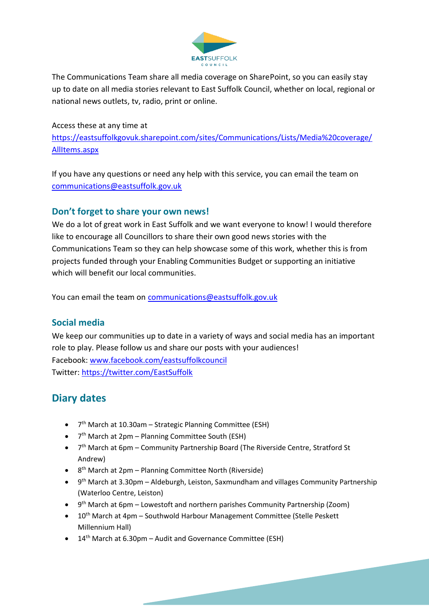![](_page_4_Picture_0.jpeg)

The Communications Team share all media coverage on SharePoint, so you can easily stay up to date on all media stories relevant to East Suffolk Council, whether on local, regional or national news outlets, tv, radio, print or online.

Access these at any time at [https://eastsuffolkgovuk.sharepoint.com/sites/Communications/Lists/Media%20coverage/](https://eastsuffolkgovuk.sharepoint.com/sites/Communications/Lists/Media%20coverage/AllItems.aspx) [AllItems.aspx](https://eastsuffolkgovuk.sharepoint.com/sites/Communications/Lists/Media%20coverage/AllItems.aspx)

If you have any questions or need any help with this service, you can email the team on [communications@eastsuffolk.gov.uk](mailto:communications@eastsuffolk.gov.uk)

## **Don't forget to share your own news!**

We do a lot of great work in East Suffolk and we want everyone to know! I would therefore like to encourage all Councillors to share their own good news stories with the Communications Team so they can help showcase some of this work, whether this is from projects funded through your Enabling Communities Budget or supporting an initiative which will benefit our local communities.

You can email the team on [communications@eastsuffolk.gov.uk](mailto:communications@eastsuffolk.gov.uk)

### **Social media**

We keep our communities up to date in a variety of ways and social media has an important role to play. Please follow us and share our posts with your audiences! Facebook: [www.facebook.com/eastsuffolkcouncil](http://www.facebook.com/eastsuffolkcouncil) Twitter:<https://twitter.com/EastSuffolk>

# **Diary dates**

- 7<sup>th</sup> March at 10.30am Strategic Planning Committee (ESH)
- 7<sup>th</sup> March at 2pm Planning Committee South (ESH)
- 7<sup>th</sup> March at 6pm Community Partnership Board (The Riverside Centre, Stratford St Andrew)
- 8<sup>th</sup> March at 2pm Planning Committee North (Riverside)
- 9<sup>th</sup> March at 3.30pm Aldeburgh, Leiston, Saxmundham and villages Community Partnership (Waterloo Centre, Leiston)
- 9<sup>th</sup> March at 6pm Lowestoft and northern parishes Community Partnership (Zoom)
- 10<sup>th</sup> March at 4pm Southwold Harbour Management Committee (Stelle Peskett Millennium Hall)
- 14<sup>th</sup> March at 6.30pm Audit and Governance Committee (ESH)